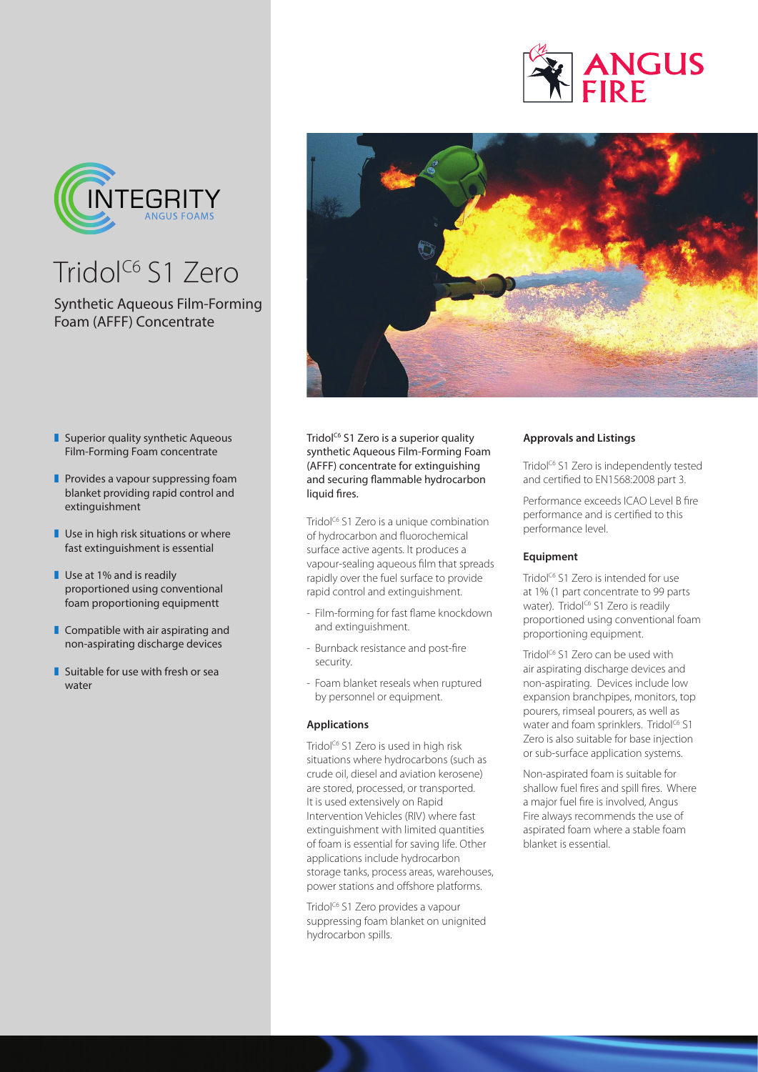



# Tridol<sup>c6</sup> S1 Zero

# Synthetic Aqueous Film-Forming Foam (AFFF) Concentrate

- $\blacksquare$  Superior quality synthetic Aqueous Film-Forming Foam concentrate
- $\blacksquare$  Provides a vapour suppressing foam blanket providing rapid control and extinguishment
- $\blacksquare$  Use in high risk situations or where fast extinguishment is essential
- $\blacksquare$  Use at 1% and is readily proportioned using conventional foam proportioning equipmentt
- $\blacksquare$  Compatible with air aspirating and non-aspirating discharge devices
- $\blacksquare$  Suitable for use with fresh or sea water



Tridol<sup>c6</sup> S1 Zero is a superior quality synthetic Aqueous Film-Forming Foam (AFFF) concentrate for extinguishing and securing flammable hydrocarbon liquid fires.

Tridol<sup>c6</sup> S1 Zero is a unique combination of hydrocarbon and fluorochemical surface active agents. It produces a vapour-sealing aqueous film that spreads rapidly over the fuel surface to provide rapid control and extinguishment.

- Film-forming for fast flame knockdown and extinguishment.
- Burnback resistance and post-fire security.
- Foam blanket reseals when ruptured by personnel or equipment.

### **Applications**

Tridol<sup>c6</sup> S1 Zero is used in high risk situations where hydrocarbons (such as crude oil, diesel and aviation kerosene) are stored, processed, or transported. It is used extensively on Rapid Intervention Vehicles (RIV) where fast extinguishment with limited quantities of foam is essential for saving life. Other applications include hydrocarbon storage tanks, process areas, warehouses, power stations and offshore platforms.

Tridol<sup>c6</sup> S1 Zero provides a vapour suppressing foam blanket on unignited hydrocarbon spills.

## **Approvals and Listings**

Tridol<sup>c6</sup> S1 Zero is independently tested and certified to EN1568:2008 part 3.

Performance exceeds ICAO Level B fire performance and is certified to this performance level.

## **Equipment**

Tridol<sup>C6</sup> S1 Zero is intended for use at 1% (1 part concentrate to 99 parts water). Tridol<sup>c6</sup> S1 Zero is readily proportioned using conventional foam proportioning equipment.

Tridol<sup>c6</sup> S1 Zero can be used with air aspirating discharge devices and non-aspirating. Devices include low expansion branchpipes, monitors, top pourers, rimseal pourers, as well as water and foam sprinklers. Tridol<sup>c6</sup> S1 Zero is also suitable for base injection or sub-surface application systems.

Non-aspirated foam is suitable for shallow fuel fires and spill fires. Where a major fuel fire is involved, Angus Fire always recommends the use of aspirated foam where a stable foam blanket is essential.